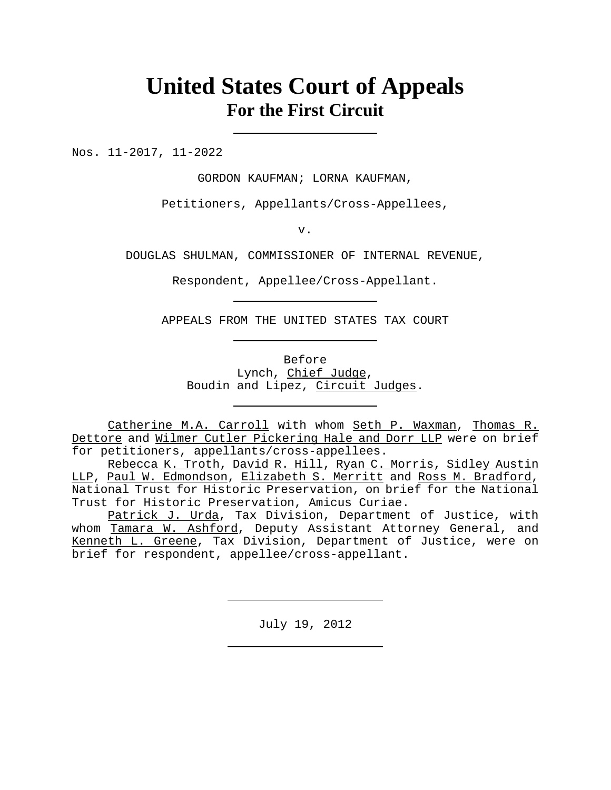## **United States Court of Appeals For the First Circuit**

Nos. 11-2017, 11-2022

GORDON KAUFMAN; LORNA KAUFMAN,

Petitioners, Appellants/Cross-Appellees,

v.

DOUGLAS SHULMAN, COMMISSIONER OF INTERNAL REVENUE,

Respondent, Appellee/Cross-Appellant.

APPEALS FROM THE UNITED STATES TAX COURT

Before Lynch, Chief Judge, Boudin and Lipez, Circuit Judges.

Catherine M.A. Carroll with whom Seth P. Waxman, Thomas R. Dettore and Wilmer Cutler Pickering Hale and Dorr LLP were on brief for petitioners, appellants/cross-appellees.

Rebecca K. Troth, David R. Hill, Ryan C. Morris, Sidley Austin LLP, Paul W. Edmondson, Elizabeth S. Merritt and Ross M. Bradford, National Trust for Historic Preservation, on brief for the National Trust for Historic Preservation, Amicus Curiae.

Patrick J. Urda, Tax Division, Department of Justice, with whom Tamara W. Ashford, Deputy Assistant Attorney General, and Kenneth L. Greene, Tax Division, Department of Justice, were on brief for respondent, appellee/cross-appellant.

July 19, 2012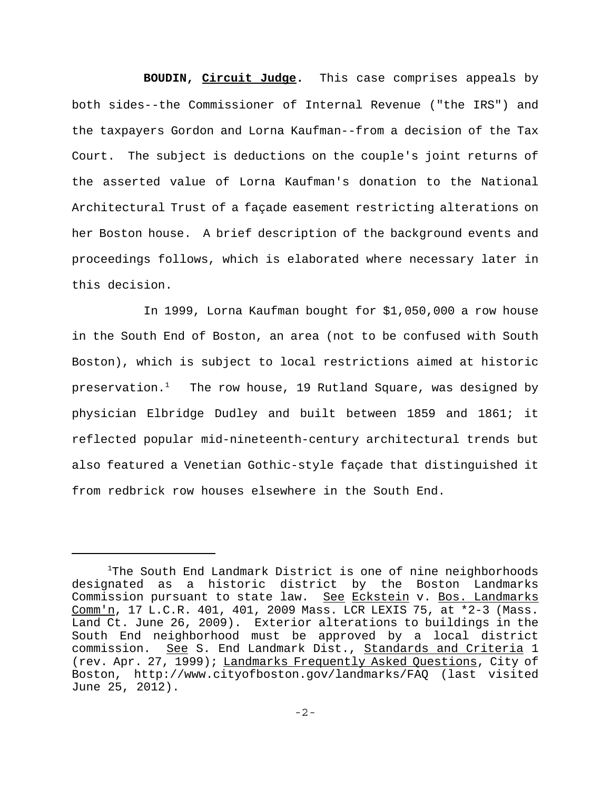**BOUDIN, Circuit Judge.** This case comprises appeals by both sides--the Commissioner of Internal Revenue ("the IRS") and the taxpayers Gordon and Lorna Kaufman--from a decision of the Tax Court. The subject is deductions on the couple's joint returns of the asserted value of Lorna Kaufman's donation to the National Architectural Trust of a façade easement restricting alterations on her Boston house. A brief description of the background events and proceedings follows, which is elaborated where necessary later in this decision.

In 1999, Lorna Kaufman bought for \$1,050,000 a row house in the South End of Boston, an area (not to be confused with South Boston), which is subject to local restrictions aimed at historic preservation. $^1$  . The row house, 19 Rutland Square, was designed by physician Elbridge Dudley and built between 1859 and 1861; it reflected popular mid-nineteenth-century architectural trends but also featured a Venetian Gothic-style façade that distinguished it from redbrick row houses elsewhere in the South End.

<sup>1</sup>The South End Landmark District is one of nine neighborhoods designated as a historic district by the Boston Landmarks Commission pursuant to state law. See Eckstein v. Bos. Landmarks Comm'n, 17 L.C.R. 401, 401, 2009 Mass. LCR LEXIS 75, at \*2-3 (Mass. Land Ct. June 26, 2009). Exterior alterations to buildings in the South End neighborhood must be approved by a local district commission. See S. End Landmark Dist., Standards and Criteria 1 (rev. Apr. 27, 1999); Landmarks Frequently Asked Questions, City of Boston, http://www.cityofboston.gov/landmarks/FAQ (last visited June 25, 2012).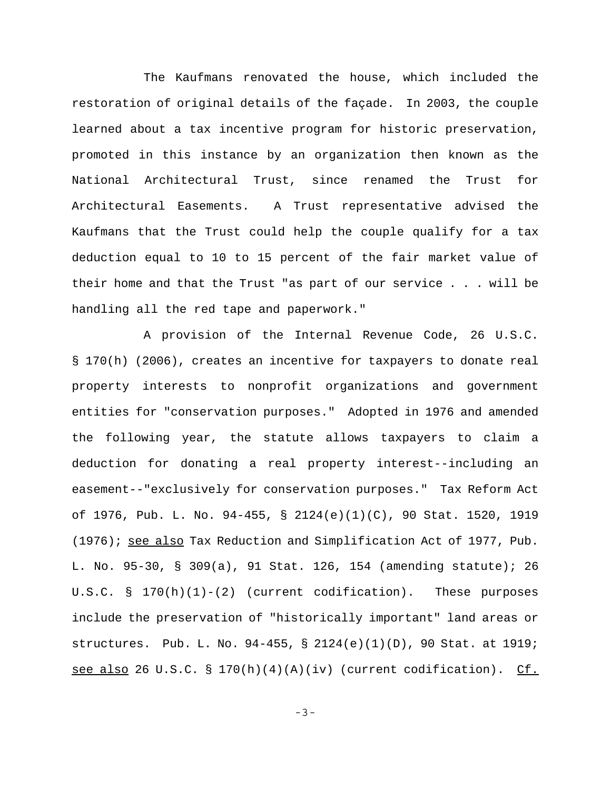The Kaufmans renovated the house, which included the restoration of original details of the façade. In 2003, the couple learned about a tax incentive program for historic preservation, promoted in this instance by an organization then known as the National Architectural Trust, since renamed the Trust for Architectural Easements. A Trust representative advised the Kaufmans that the Trust could help the couple qualify for a tax deduction equal to 10 to 15 percent of the fair market value of their home and that the Trust "as part of our service . . . will be handling all the red tape and paperwork."

A provision of the Internal Revenue Code, 26 U.S.C. § 170(h) (2006), creates an incentive for taxpayers to donate real property interests to nonprofit organizations and government entities for "conservation purposes." Adopted in 1976 and amended the following year, the statute allows taxpayers to claim a deduction for donating a real property interest--including an easement--"exclusively for conservation purposes." Tax Reform Act of 1976, Pub. L. No. 94-455, § 2124(e)(1)(C), 90 Stat. 1520, 1919 (1976); see also Tax Reduction and Simplification Act of 1977, Pub. L. No. 95-30, § 309(a), 91 Stat. 126, 154 (amending statute); 26 U.S.C. §  $170(h)(1)-(2)$  (current codification). These purposes include the preservation of "historically important" land areas or structures. Pub. L. No. 94-455, § 2124(e)(1)(D), 90 Stat. at 1919; see also 26 U.S.C. § 170(h)(4)(A)(iv) (current codification). Cf.

-3-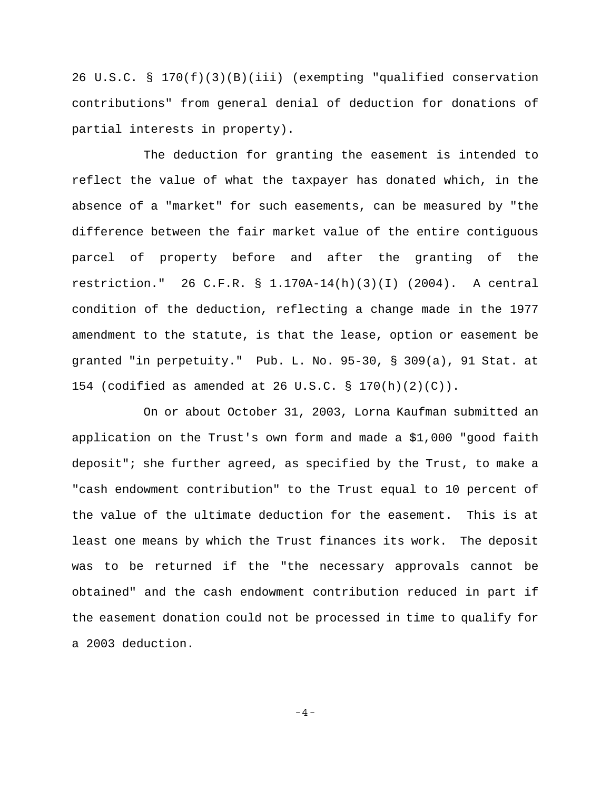26 U.S.C. § 170(f)(3)(B)(iii) (exempting "qualified conservation contributions" from general denial of deduction for donations of partial interests in property).

The deduction for granting the easement is intended to reflect the value of what the taxpayer has donated which, in the absence of a "market" for such easements, can be measured by "the difference between the fair market value of the entire contiguous parcel of property before and after the granting of the restriction." 26 C.F.R. § 1.170A-14(h)(3)(I) (2004). A central condition of the deduction, reflecting a change made in the 1977 amendment to the statute, is that the lease, option or easement be granted "in perpetuity." Pub. L. No. 95-30, § 309(a), 91 Stat. at 154 (codified as amended at 26 U.S.C. § 170(h)(2)(C)).

On or about October 31, 2003, Lorna Kaufman submitted an application on the Trust's own form and made a \$1,000 "good faith deposit"; she further agreed, as specified by the Trust, to make a "cash endowment contribution" to the Trust equal to 10 percent of the value of the ultimate deduction for the easement. This is at least one means by which the Trust finances its work. The deposit was to be returned if the "the necessary approvals cannot be obtained" and the cash endowment contribution reduced in part if the easement donation could not be processed in time to qualify for a 2003 deduction.

-4-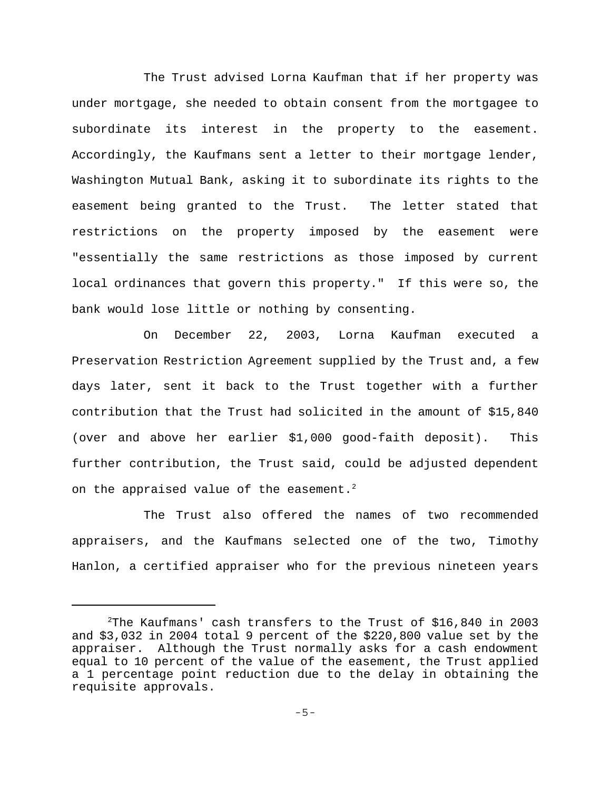The Trust advised Lorna Kaufman that if her property was under mortgage, she needed to obtain consent from the mortgagee to subordinate its interest in the property to the easement. Accordingly, the Kaufmans sent a letter to their mortgage lender, Washington Mutual Bank, asking it to subordinate its rights to the easement being granted to the Trust. The letter stated that restrictions on the property imposed by the easement were "essentially the same restrictions as those imposed by current local ordinances that govern this property." If this were so, the bank would lose little or nothing by consenting.

On December 22, 2003, Lorna Kaufman executed a Preservation Restriction Agreement supplied by the Trust and, a few days later, sent it back to the Trust together with a further contribution that the Trust had solicited in the amount of \$15,840 (over and above her earlier \$1,000 good-faith deposit). This further contribution, the Trust said, could be adjusted dependent on the appraised value of the easement.<sup>2</sup>

The Trust also offered the names of two recommended appraisers, and the Kaufmans selected one of the two, Timothy Hanlon, a certified appraiser who for the previous nineteen years

<sup>2</sup> The Kaufmans' cash transfers to the Trust of \$16,840 in 2003 and \$3,032 in 2004 total 9 percent of the \$220,800 value set by the appraiser. Although the Trust normally asks for a cash endowment equal to 10 percent of the value of the easement, the Trust applied a 1 percentage point reduction due to the delay in obtaining the requisite approvals.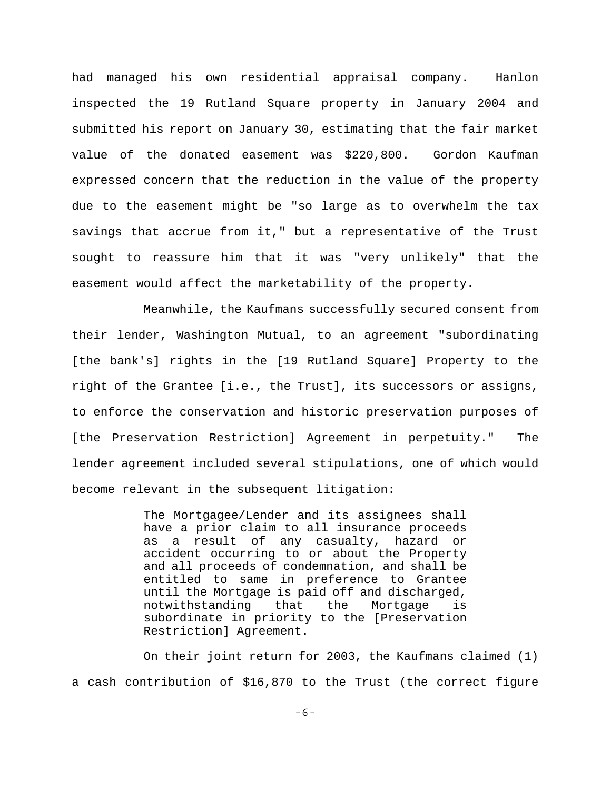had managed his own residential appraisal company. Hanlon inspected the 19 Rutland Square property in January 2004 and submitted his report on January 30, estimating that the fair market value of the donated easement was \$220,800. Gordon Kaufman expressed concern that the reduction in the value of the property due to the easement might be "so large as to overwhelm the tax savings that accrue from it," but a representative of the Trust sought to reassure him that it was "very unlikely" that the easement would affect the marketability of the property.

Meanwhile, the Kaufmans successfully secured consent from their lender, Washington Mutual, to an agreement "subordinating [the bank's] rights in the [19 Rutland Square] Property to the right of the Grantee [i.e., the Trust], its successors or assigns, to enforce the conservation and historic preservation purposes of [the Preservation Restriction] Agreement in perpetuity." The lender agreement included several stipulations, one of which would become relevant in the subsequent litigation:

> The Mortgagee/Lender and its assignees shall have a prior claim to all insurance proceeds as a result of any casualty, hazard or accident occurring to or about the Property and all proceeds of condemnation, and shall be entitled to same in preference to Grantee until the Mortgage is paid off and discharged, notwithstanding that the Mortgage is subordinate in priority to the [Preservation Restriction] Agreement.

On their joint return for 2003, the Kaufmans claimed (1) a cash contribution of \$16,870 to the Trust (the correct figure

-6-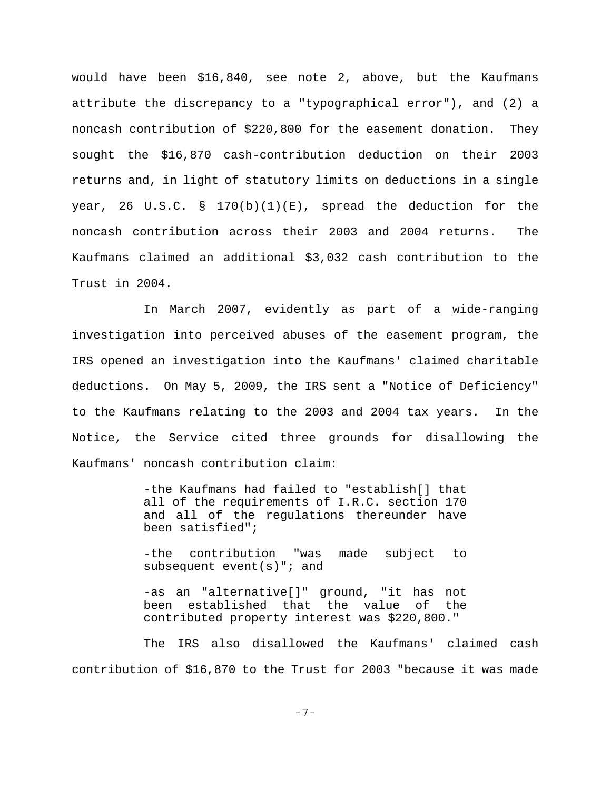would have been \$16,840, see note 2, above, but the Kaufmans attribute the discrepancy to a "typographical error"), and (2) a noncash contribution of \$220,800 for the easement donation. They sought the \$16,870 cash-contribution deduction on their 2003 returns and, in light of statutory limits on deductions in a single year, 26 U.S.C. § 170 $(b)(1)(E)$ , spread the deduction for the noncash contribution across their 2003 and 2004 returns. The Kaufmans claimed an additional \$3,032 cash contribution to the Trust in 2004.

In March 2007, evidently as part of a wide-ranging investigation into perceived abuses of the easement program, the IRS opened an investigation into the Kaufmans' claimed charitable deductions. On May 5, 2009, the IRS sent a "Notice of Deficiency" to the Kaufmans relating to the 2003 and 2004 tax years. In the Notice, the Service cited three grounds for disallowing the Kaufmans' noncash contribution claim:

> -the Kaufmans had failed to "establish[] that all of the requirements of I.R.C. section 170 and all of the regulations thereunder have been satisfied";

> -the contribution "was made subject to subsequent event(s)"; and

> -as an "alternative[]" ground, "it has not been established that the value of the contributed property interest was \$220,800."

The IRS also disallowed the Kaufmans' claimed cash contribution of \$16,870 to the Trust for 2003 "because it was made

-7-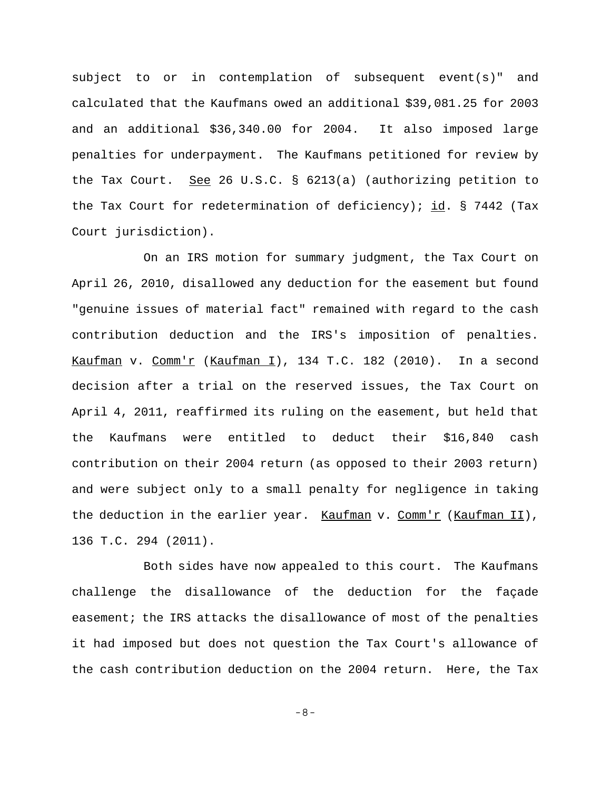subject to or in contemplation of subsequent event(s)" and calculated that the Kaufmans owed an additional \$39,081.25 for 2003 and an additional \$36,340.00 for 2004. It also imposed large penalties for underpayment. The Kaufmans petitioned for review by the Tax Court. See 26 U.S.C. § 6213(a) (authorizing petition to the Tax Court for redetermination of deficiency); id. § 7442 (Tax Court jurisdiction).

On an IRS motion for summary judgment, the Tax Court on April 26, 2010, disallowed any deduction for the easement but found "genuine issues of material fact" remained with regard to the cash contribution deduction and the IRS's imposition of penalties. Kaufman v. Comm'r (Kaufman I), 134 T.C. 182 (2010). In a second decision after a trial on the reserved issues, the Tax Court on April 4, 2011, reaffirmed its ruling on the easement, but held that the Kaufmans were entitled to deduct their \$16,840 cash contribution on their 2004 return (as opposed to their 2003 return) and were subject only to a small penalty for negligence in taking the deduction in the earlier year. Kaufman v. Comm'r (Kaufman II), 136 T.C. 294 (2011).

Both sides have now appealed to this court. The Kaufmans challenge the disallowance of the deduction for the façade easement; the IRS attacks the disallowance of most of the penalties it had imposed but does not question the Tax Court's allowance of the cash contribution deduction on the 2004 return. Here, the Tax

-8-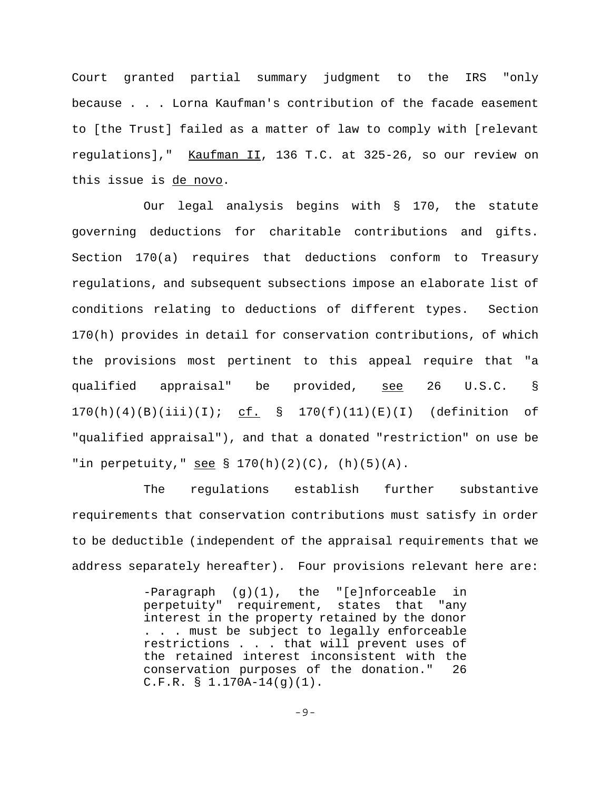Court granted partial summary judgment to the IRS "only because . . . Lorna Kaufman's contribution of the facade easement to [the Trust] failed as a matter of law to comply with [relevant regulations]," Kaufman II, 136 T.C. at 325-26, so our review on this issue is de novo.

Our legal analysis begins with § 170, the statute governing deductions for charitable contributions and gifts. Section 170(a) requires that deductions conform to Treasury regulations, and subsequent subsections impose an elaborate list of conditions relating to deductions of different types. Section 170(h) provides in detail for conservation contributions, of which the provisions most pertinent to this appeal require that "a qualified appraisal" be provided, <u>see</u> 26 U.S.C. §  $170(h)(4)(B)(iii)(I);$  cf. §  $170(f)(11)(E)(I)$  (definition of "qualified appraisal"), and that a donated "restriction" on use be "in perpetuity," see  $\S$  170(h)(2)(C), (h)(5)(A).

The regulations establish further substantive requirements that conservation contributions must satisfy in order to be deductible (independent of the appraisal requirements that we address separately hereafter). Four provisions relevant here are:

> -Paragraph (g)(1), the "[e]nforceable in perpetuity" requirement, states that "any interest in the property retained by the donor . . . must be subject to legally enforceable restrictions . . . that will prevent uses of the retained interest inconsistent with the conservation purposes of the donation." 26 C.F.R. § 1.170A-14(g)(1).

> > -9-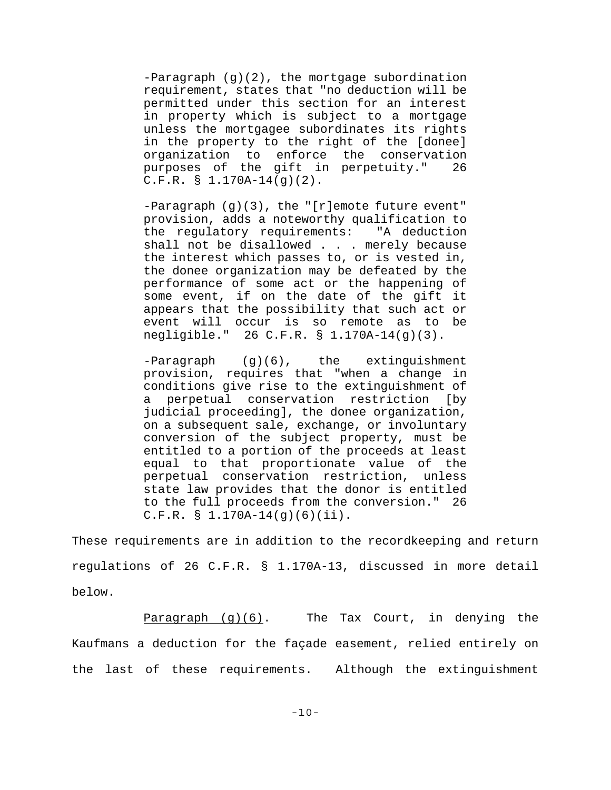-Paragraph (g)(2), the mortgage subordination requirement, states that "no deduction will be permitted under this section for an interest in property which is subject to a mortgage unless the mortgagee subordinates its rights in the property to the right of the [donee] organization to enforce the conservation purposes of the gift in perpetuity." 26  $C.F.R. \S 1.170A-14(g)(2)$ .

-Paragraph (g)(3), the "[r]emote future event" provision, adds a noteworthy qualification to the regulatory requirements: "A deduction shall not be disallowed . . . merely because the interest which passes to, or is vested in, the donee organization may be defeated by the performance of some act or the happening of some event, if on the date of the gift it appears that the possibility that such act or event will occur is so remote as to be negligible." 26 C.F.R. § 1.170A-14(g)(3).

-Paragraph (g)(6), the extinguishment provision, requires that "when a change in conditions give rise to the extinguishment of a perpetual conservation restriction [by judicial proceeding], the donee organization, on a subsequent sale, exchange, or involuntary conversion of the subject property, must be entitled to a portion of the proceeds at least equal to that proportionate value of the perpetual conservation restriction, unless state law provides that the donor is entitled to the full proceeds from the conversion." 26 C.F.R. § 1.170A-14(g)(6)(ii).

These requirements are in addition to the recordkeeping and return regulations of 26 C.F.R. § 1.170A-13, discussed in more detail below.

Paragraph  $(g)(6)$ . The Tax Court, in denying the Kaufmans a deduction for the façade easement, relied entirely on the last of these requirements. Although the extinguishment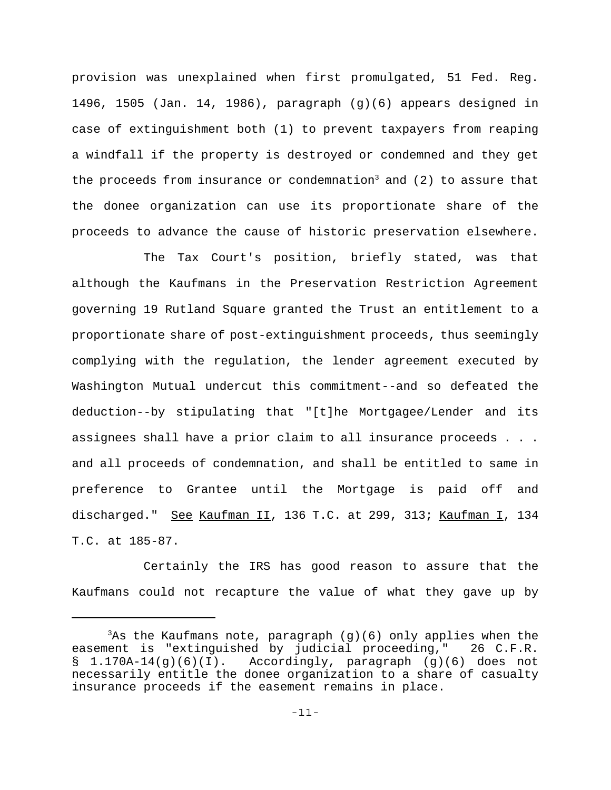provision was unexplained when first promulgated, 51 Fed. Reg. 1496, 1505 (Jan. 14, 1986), paragraph (g)(6) appears designed in case of extinguishment both (1) to prevent taxpayers from reaping a windfall if the property is destroyed or condemned and they get the proceeds from insurance or condemnation<sup>3</sup> and  $(2)$  to assure that the donee organization can use its proportionate share of the proceeds to advance the cause of historic preservation elsewhere.

The Tax Court's position, briefly stated, was that although the Kaufmans in the Preservation Restriction Agreement governing 19 Rutland Square granted the Trust an entitlement to a proportionate share of post-extinguishment proceeds, thus seemingly complying with the regulation, the lender agreement executed by Washington Mutual undercut this commitment--and so defeated the deduction--by stipulating that "[t]he Mortgagee/Lender and its assignees shall have a prior claim to all insurance proceeds . . . and all proceeds of condemnation, and shall be entitled to same in preference to Grantee until the Mortgage is paid off and discharged." See Kaufman II, 136 T.C. at 299, 313; Kaufman I, 134 T.C. at 185-87.

Certainly the IRS has good reason to assure that the Kaufmans could not recapture the value of what they gave up by

 $3$ As the Kaufmans note, paragraph (g)(6) only applies when the easement is "extinguished by judicial proceeding," 26 C.F.R. § 1.170A-14(g)(6)(I). Accordingly, paragraph (g)(6) does not necessarily entitle the donee organization to a share of casualty insurance proceeds if the easement remains in place.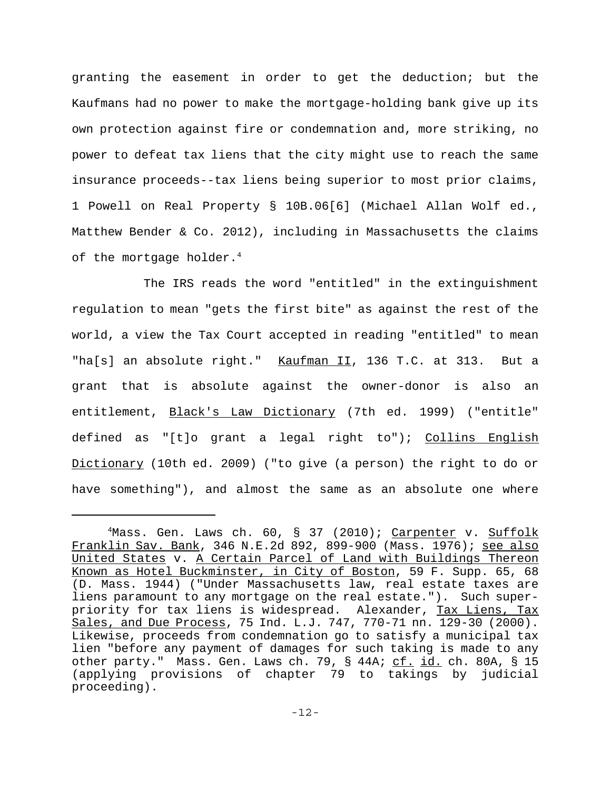granting the easement in order to get the deduction; but the Kaufmans had no power to make the mortgage-holding bank give up its own protection against fire or condemnation and, more striking, no power to defeat tax liens that the city might use to reach the same insurance proceeds--tax liens being superior to most prior claims, 1 Powell on Real Property § 10B.06[6] (Michael Allan Wolf ed., Matthew Bender & Co. 2012), including in Massachusetts the claims of the mortgage holder. $^4$ 

The IRS reads the word "entitled" in the extinguishment regulation to mean "gets the first bite" as against the rest of the world, a view the Tax Court accepted in reading "entitled" to mean "ha[s] an absolute right." Kaufman II, 136 T.C. at 313. But a grant that is absolute against the owner-donor is also an entitlement, Black's Law Dictionary (7th ed. 1999) ("entitle" defined as "[t]o grant a legal right to"); Collins English Dictionary (10th ed. 2009) ("to give (a person) the right to do or have something"), and almost the same as an absolute one where

<sup>&</sup>lt;sup>4</sup>Mass. Gen. Laws ch. 60, § 37 (2010); Carpenter v. Suffolk Franklin Sav. Bank, 346 N.E.2d 892, 899-900 (Mass. 1976); see also United States v. A Certain Parcel of Land with Buildings Thereon Known as Hotel Buckminster, in City of Boston, 59 F. Supp. 65, 68 (D. Mass. 1944) ("Under Massachusetts law, real estate taxes are liens paramount to any mortgage on the real estate."). Such superpriority for tax liens is widespread. Alexander, Tax Liens, Tax Sales, and Due Process, 75 Ind. L.J. 747, 770-71 nn. 129-30 (2000). Likewise, proceeds from condemnation go to satisfy a municipal tax lien "before any payment of damages for such taking is made to any other party." Mass. Gen. Laws ch. 79, § 44A; cf. id. ch. 80A, § 15 (applying provisions of chapter 79 to takings by judicial proceeding).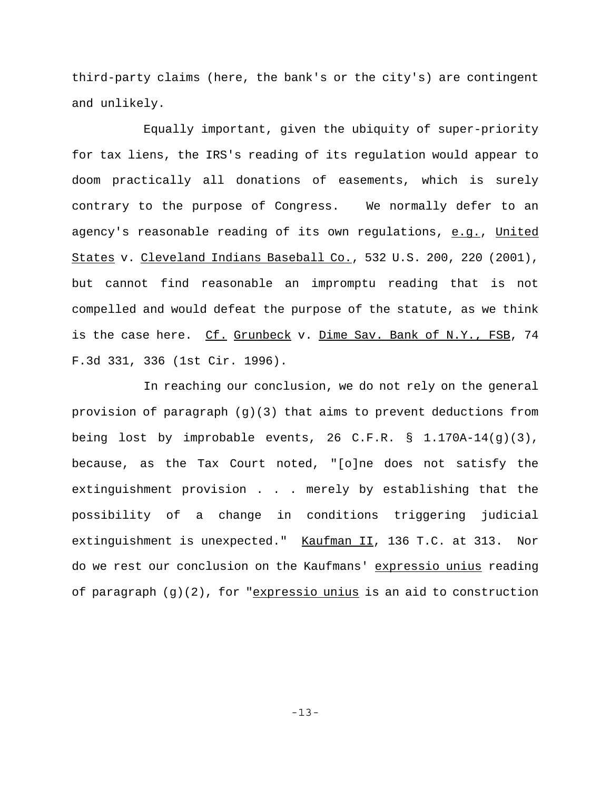third-party claims (here, the bank's or the city's) are contingent and unlikely.

Equally important, given the ubiquity of super-priority for tax liens, the IRS's reading of its regulation would appear to doom practically all donations of easements, which is surely contrary to the purpose of Congress. We normally defer to an agency's reasonable reading of its own regulations, e.g., United States v. Cleveland Indians Baseball Co., 532 U.S. 200, 220 (2001), but cannot find reasonable an impromptu reading that is not compelled and would defeat the purpose of the statute, as we think is the case here. Cf. Grunbeck v. Dime Sav. Bank of N.Y., FSB, 74 F.3d 331, 336 (1st Cir. 1996).

In reaching our conclusion, we do not rely on the general provision of paragraph  $(q)(3)$  that aims to prevent deductions from being lost by improbable events, 26 C.F.R. § 1.170A-14(g)(3), because, as the Tax Court noted, "[o]ne does not satisfy the extinguishment provision . . . merely by establishing that the possibility of a change in conditions triggering judicial extinguishment is unexpected." Kaufman II, 136 T.C. at 313. Nor do we rest our conclusion on the Kaufmans' expressio unius reading of paragraph  $(g)(2)$ , for "expressio unius is an aid to construction

-13-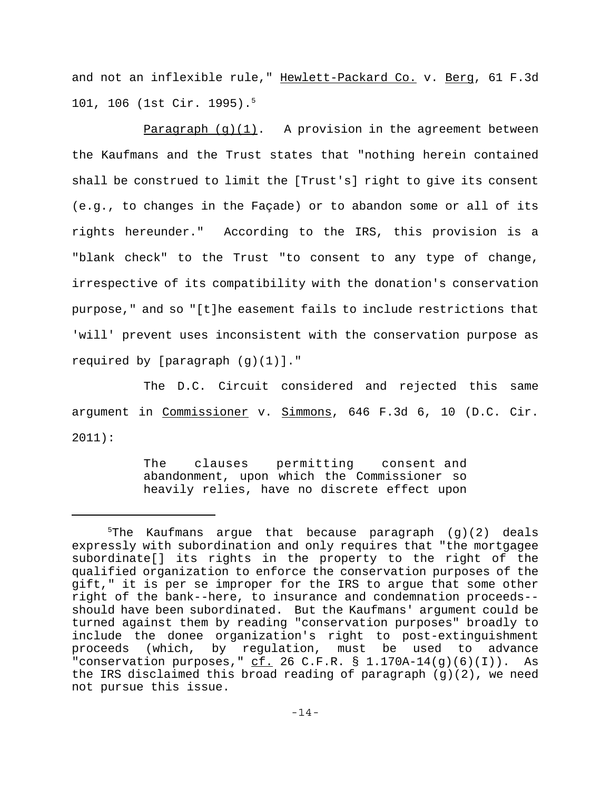and not an inflexible rule," Hewlett-Packard Co. v. Berg, 61 F.3d 101, 106 (1st Cir. 1995).5

Paragraph  $(g)(1)$ . A provision in the agreement between the Kaufmans and the Trust states that "nothing herein contained shall be construed to limit the [Trust's] right to give its consent (e.g., to changes in the Façade) or to abandon some or all of its rights hereunder." According to the IRS, this provision is a "blank check" to the Trust "to consent to any type of change, irrespective of its compatibility with the donation's conservation purpose," and so "[t]he easement fails to include restrictions that 'will' prevent uses inconsistent with the conservation purpose as required by [paragraph (g)(1)]."

The D.C. Circuit considered and rejected this same argument in Commissioner v. Simmons, 646 F.3d 6, 10 (D.C. Cir. 2011):

> The clauses permitting consent and abandonment, upon which the Commissioner so heavily relies, have no discrete effect upon

 $5$ The Kaufmans argue that because paragraph (g)(2) deals expressly with subordination and only requires that "the mortgagee subordinate[] its rights in the property to the right of the qualified organization to enforce the conservation purposes of the gift," it is per se improper for the IRS to argue that some other right of the bank--here, to insurance and condemnation proceeds- should have been subordinated. But the Kaufmans' argument could be turned against them by reading "conservation purposes" broadly to include the donee organization's right to post-extinguishment proceeds (which, by regulation, must be used to advance "conservation purposes,"  $c\overline{f}$ . 26 C.F.R. § 1.170A-14(g)(6)(I)). As the IRS disclaimed this broad reading of paragraph (g)(2), we need not pursue this issue.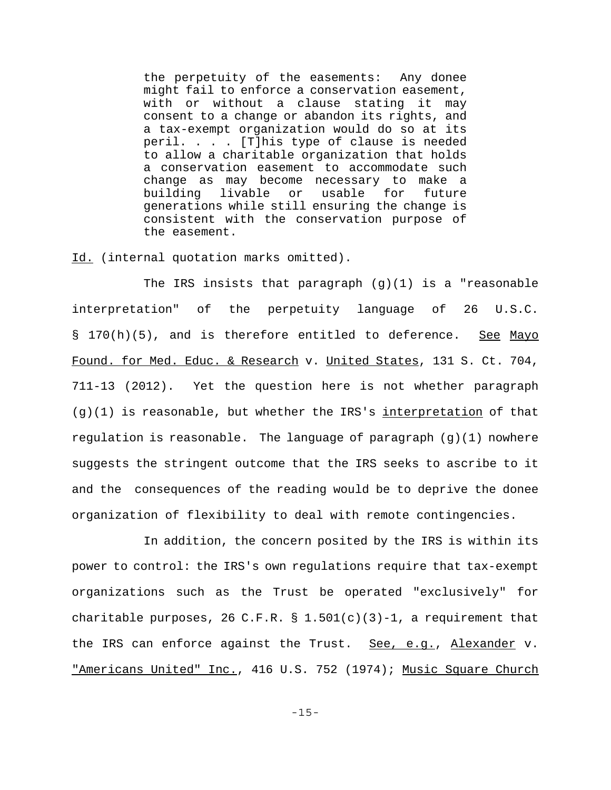the perpetuity of the easements: Any donee might fail to enforce a conservation easement, with or without a clause stating it may consent to a change or abandon its rights, and a tax-exempt organization would do so at its peril. . . . [T]his type of clause is needed to allow a charitable organization that holds a conservation easement to accommodate such change as may become necessary to make a building livable or usable for future generations while still ensuring the change is consistent with the conservation purpose of the easement.

Id. (internal quotation marks omitted).

The IRS insists that paragraph  $(g)(1)$  is a "reasonable interpretation" of the perpetuity language of 26 U.S.C. § 170(h)(5), and is therefore entitled to deference. See Mayo Found. for Med. Educ. & Research v. United States, 131 S. Ct. 704, 711-13 (2012). Yet the question here is not whether paragraph  $(q)(1)$  is reasonable, but whether the IRS's interpretation of that regulation is reasonable. The language of paragraph  $(g)(1)$  nowhere suggests the stringent outcome that the IRS seeks to ascribe to it and the consequences of the reading would be to deprive the donee organization of flexibility to deal with remote contingencies.

In addition, the concern posited by the IRS is within its power to control: the IRS's own regulations require that tax-exempt organizations such as the Trust be operated "exclusively" for charitable purposes, 26 C.F.R.  $\S$  1.501(c)(3)-1, a requirement that the IRS can enforce against the Trust. See, e.g., Alexander v. "Americans United" Inc., 416 U.S. 752 (1974); Music Square Church

-15-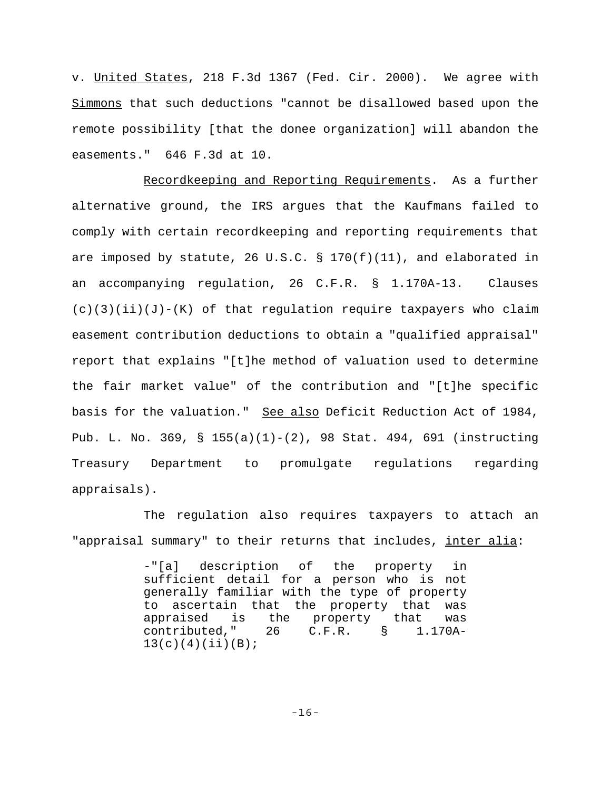v. United States, 218 F.3d 1367 (Fed. Cir. 2000). We agree with Simmons that such deductions "cannot be disallowed based upon the remote possibility [that the donee organization] will abandon the easements." 646 F.3d at 10.

Recordkeeping and Reporting Requirements. As a further alternative ground, the IRS argues that the Kaufmans failed to comply with certain recordkeeping and reporting requirements that are imposed by statute, 26 U.S.C. § 170(f)(11), and elaborated in an accompanying regulation, 26 C.F.R. § 1.170A-13. Clauses  $(c)(3)(ii)(J)-(K)$  of that regulation require taxpayers who claim easement contribution deductions to obtain a "qualified appraisal" report that explains "[t]he method of valuation used to determine the fair market value" of the contribution and "[t]he specific basis for the valuation." See also Deficit Reduction Act of 1984, Pub. L. No. 369, § 155(a)(1)-(2), 98 Stat. 494, 691 (instructing Treasury Department to promulgate regulations regarding appraisals).

The regulation also requires taxpayers to attach an "appraisal summary" to their returns that includes, inter alia:

> -"[a] description of the property in sufficient detail for a person who is not generally familiar with the type of property to ascertain that the property that was appraised is the property that was<br>contributed," 26 C.F.R. § 1.170Acontributed," 26 C.F.R.  $13(c)(4)(ii)(B);$

> > -16-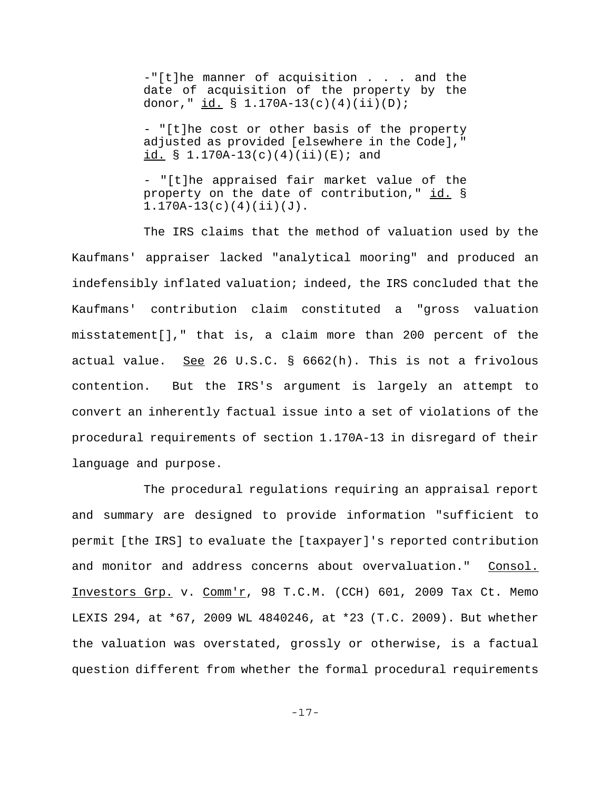-"[t]he manner of acquisition . . . and the date of acquisition of the property by the donor,"  $\underline{id.}$  § 1.170A-13(c)(4)(ii)(D);

- "[t]he cost or other basis of the property adjusted as provided [elsewhere in the Code]," id.  $\S$  1.170A-13(c)(4)(ii)(E); and

- "[t]he appraised fair market value of the property on the date of contribution," id. §  $1.170A-13(c)(4)(ii)(J).$ 

The IRS claims that the method of valuation used by the Kaufmans' appraiser lacked "analytical mooring" and produced an indefensibly inflated valuation; indeed, the IRS concluded that the Kaufmans' contribution claim constituted a "gross valuation misstatement[]," that is, a claim more than 200 percent of the actual value. See 26 U.S.C.  $\S$  6662(h). This is not a frivolous contention. But the IRS's argument is largely an attempt to convert an inherently factual issue into a set of violations of the procedural requirements of section 1.170A-13 in disregard of their language and purpose.

The procedural regulations requiring an appraisal report and summary are designed to provide information "sufficient to permit [the IRS] to evaluate the [taxpayer]'s reported contribution and monitor and address concerns about overvaluation." Consol. Investors Grp. v.  $Comm r$ , 98 T.C.M. (CCH) 601, 2009 Tax Ct. Memo LEXIS 294, at \*67, 2009 WL 4840246, at \*23 (T.C. 2009). But whether the valuation was overstated, grossly or otherwise, is a factual question different from whether the formal procedural requirements

-17-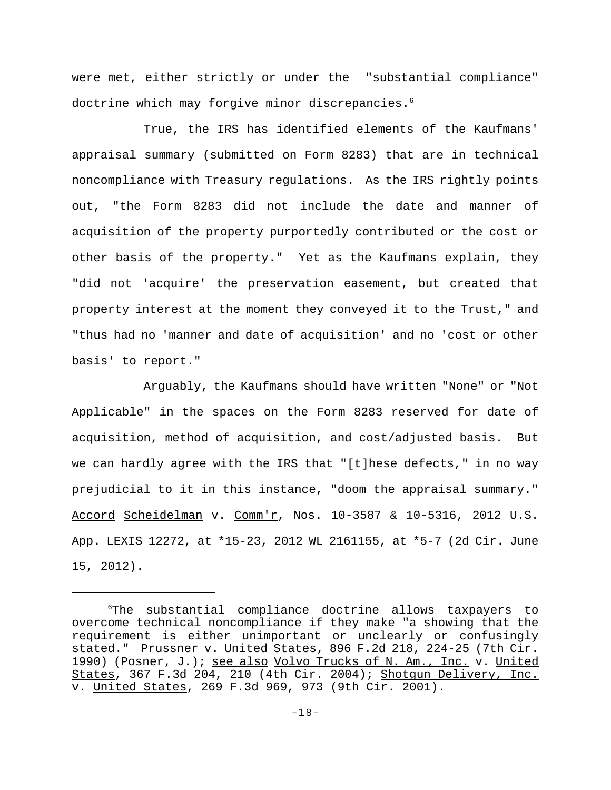were met, either strictly or under the "substantial compliance" doctrine which may forgive minor discrepancies.6

True, the IRS has identified elements of the Kaufmans' appraisal summary (submitted on Form 8283) that are in technical noncompliance with Treasury regulations. As the IRS rightly points out, "the Form 8283 did not include the date and manner of acquisition of the property purportedly contributed or the cost or other basis of the property." Yet as the Kaufmans explain, they "did not 'acquire' the preservation easement, but created that property interest at the moment they conveyed it to the Trust," and "thus had no 'manner and date of acquisition' and no 'cost or other basis' to report."

Arguably, the Kaufmans should have written "None" or "Not Applicable" in the spaces on the Form 8283 reserved for date of acquisition, method of acquisition, and cost/adjusted basis. But we can hardly agree with the IRS that "[t]hese defects," in no way prejudicial to it in this instance, "doom the appraisal summary." Accord Scheidelman v. Comm'r, Nos. 10-3587 & 10-5316, 2012 U.S. App. LEXIS 12272, at \*15-23, 2012 WL 2161155, at \*5-7 (2d Cir. June 15, 2012).

<sup>6</sup> The substantial compliance doctrine allows taxpayers to overcome technical noncompliance if they make "a showing that the requirement is either unimportant or unclearly or confusingly stated." Prussner v. United States, 896 F.2d 218, 224-25 (7th Cir. 1990) (Posner, J.); see also Volvo Trucks of N. Am., Inc. v. United States, 367 F.3d 204, 210 (4th Cir. 2004); Shotgun Delivery, Inc. v. United States, 269 F.3d 969, 973 (9th Cir. 2001).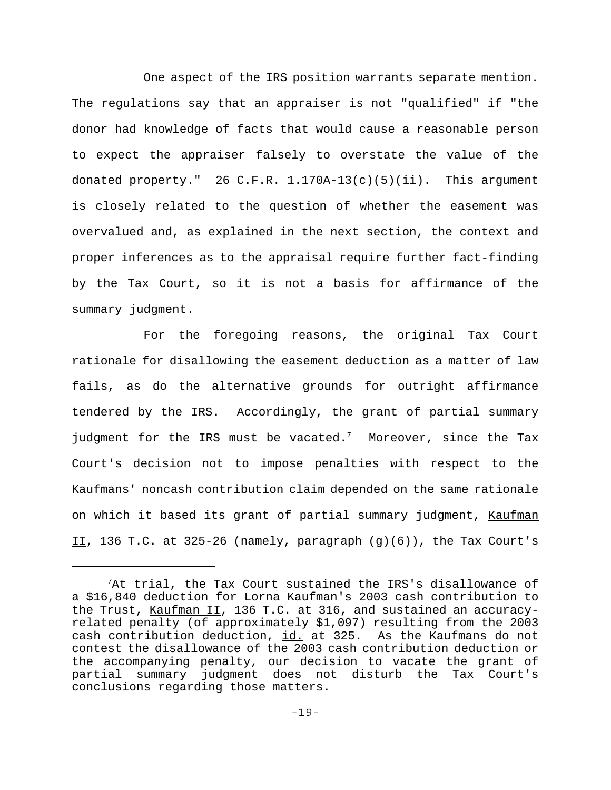One aspect of the IRS position warrants separate mention. The regulations say that an appraiser is not "qualified" if "the donor had knowledge of facts that would cause a reasonable person to expect the appraiser falsely to overstate the value of the donated property." 26 C.F.R.  $1.170A-13(c)(5)(ii)$ . This argument is closely related to the question of whether the easement was overvalued and, as explained in the next section, the context and proper inferences as to the appraisal require further fact-finding by the Tax Court, so it is not a basis for affirmance of the summary judgment.

For the foregoing reasons, the original Tax Court rationale for disallowing the easement deduction as a matter of law fails, as do the alternative grounds for outright affirmance tendered by the IRS. Accordingly, the grant of partial summary judgment for the IRS must be vacated.<sup>7</sup> Moreover, since the Tax Court's decision not to impose penalties with respect to the Kaufmans' noncash contribution claim depended on the same rationale on which it based its grant of partial summary judgment, Kaufman II, 136 T.C. at 325-26 (namely, paragraph  $(g)(6)$ ), the Tax Court's

 $7$ At trial, the Tax Court sustained the IRS's disallowance of a \$16,840 deduction for Lorna Kaufman's 2003 cash contribution to the Trust, Kaufman II, 136 T.C. at 316, and sustained an accuracyrelated penalty (of approximately \$1,097) resulting from the 2003 cash contribution deduction, id. at 325. As the Kaufmans do not contest the disallowance of the 2003 cash contribution deduction or the accompanying penalty, our decision to vacate the grant of partial summary judgment does not disturb the Tax Court's conclusions regarding those matters.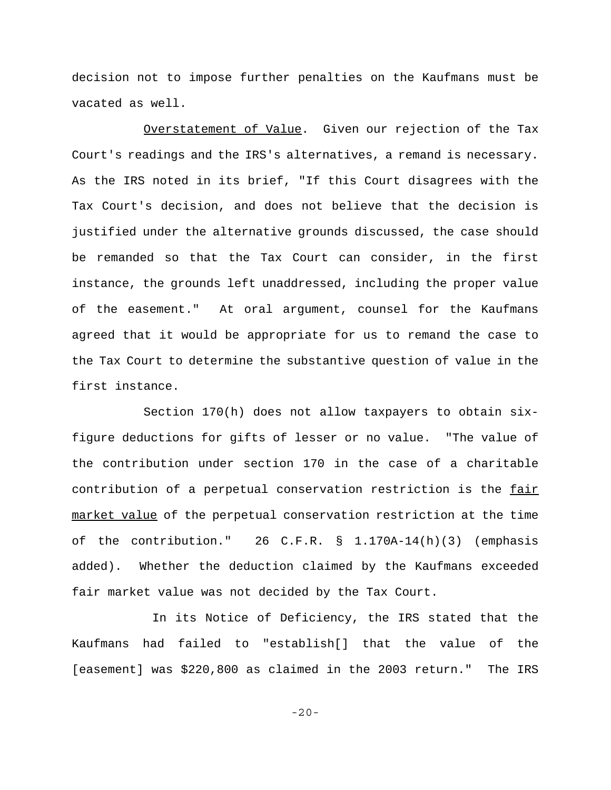decision not to impose further penalties on the Kaufmans must be vacated as well.

Overstatement of Value. Given our rejection of the Tax Court's readings and the IRS's alternatives, a remand is necessary. As the IRS noted in its brief, "If this Court disagrees with the Tax Court's decision, and does not believe that the decision is justified under the alternative grounds discussed, the case should be remanded so that the Tax Court can consider, in the first instance, the grounds left unaddressed, including the proper value of the easement." At oral argument, counsel for the Kaufmans agreed that it would be appropriate for us to remand the case to the Tax Court to determine the substantive question of value in the first instance.

Section 170(h) does not allow taxpayers to obtain sixfigure deductions for gifts of lesser or no value. "The value of the contribution under section 170 in the case of a charitable contribution of a perpetual conservation restriction is the fair market value of the perpetual conservation restriction at the time of the contribution." 26 C.F.R. § 1.170A-14(h)(3) (emphasis added). Whether the deduction claimed by the Kaufmans exceeded fair market value was not decided by the Tax Court.

 In its Notice of Deficiency, the IRS stated that the Kaufmans had failed to "establish[] that the value of the [easement] was \$220,800 as claimed in the 2003 return." The IRS

-20-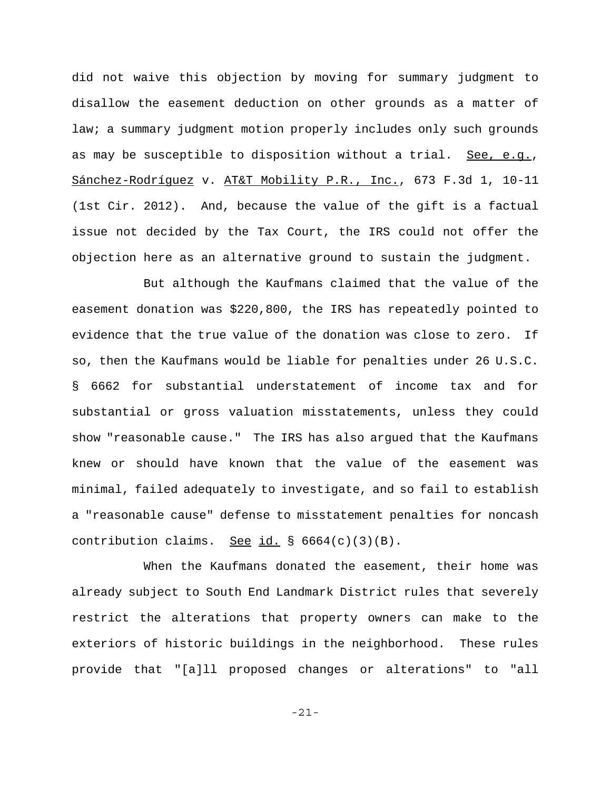did not waive this objection by moving for summary judgment to disallow the easement deduction on other grounds as a matter of law; a summary judgment motion properly includes only such grounds as may be susceptible to disposition without a trial. See, e.g., Sánchez-Rodríguez v. AT&T Mobility P.R., Inc., 673 F.3d 1, 10-11 (1st Cir. 2012). And, because the value of the gift is a factual issue not decided by the Tax Court, the IRS could not offer the objection here as an alternative ground to sustain the judgment.

But although the Kaufmans claimed that the value of the easement donation was \$220,800, the IRS has repeatedly pointed to evidence that the true value of the donation was close to zero. If so, then the Kaufmans would be liable for penalties under 26 U.S.C. § 6662 for substantial understatement of income tax and for substantial or gross valuation misstatements, unless they could show "reasonable cause." The IRS has also argued that the Kaufmans knew or should have known that the value of the easement was minimal, failed adequately to investigate, and so fail to establish a "reasonable cause" defense to misstatement penalties for noncash contribution claims. See id.  $\S$  6664(c)(3)(B).

When the Kaufmans donated the easement, their home was already subject to South End Landmark District rules that severely restrict the alterations that property owners can make to the exteriors of historic buildings in the neighborhood. These rules provide that "[a]ll proposed changes or alterations" to "all

-21-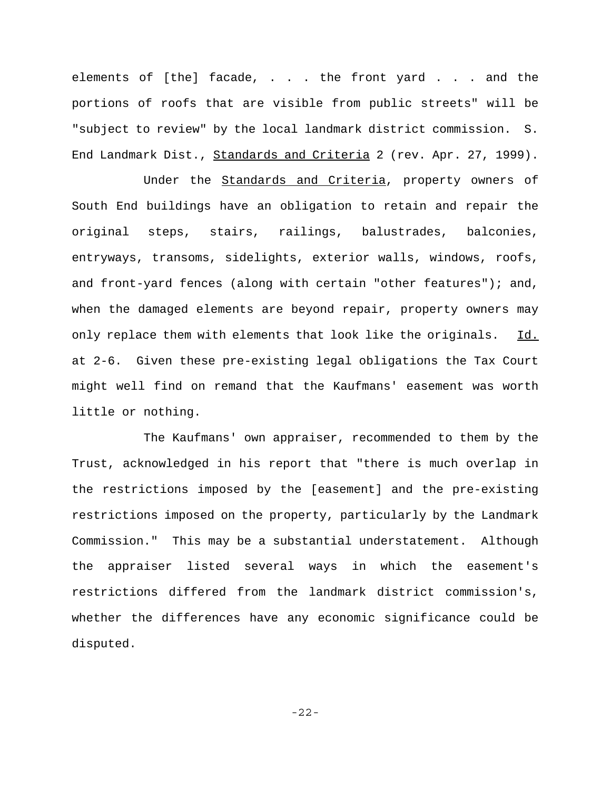elements of [the] facade, . . . the front yard . . . and the portions of roofs that are visible from public streets" will be "subject to review" by the local landmark district commission. S. End Landmark Dist., Standards and Criteria 2 (rev. Apr. 27, 1999).

Under the Standards and Criteria, property owners of South End buildings have an obligation to retain and repair the original steps, stairs, railings, balustrades, balconies, entryways, transoms, sidelights, exterior walls, windows, roofs, and front-yard fences (along with certain "other features"); and, when the damaged elements are beyond repair, property owners may only replace them with elements that look like the originals. Id. at 2-6. Given these pre-existing legal obligations the Tax Court might well find on remand that the Kaufmans' easement was worth little or nothing.

The Kaufmans' own appraiser, recommended to them by the Trust, acknowledged in his report that "there is much overlap in the restrictions imposed by the [easement] and the pre-existing restrictions imposed on the property, particularly by the Landmark Commission." This may be a substantial understatement. Although the appraiser listed several ways in which the easement's restrictions differed from the landmark district commission's, whether the differences have any economic significance could be disputed.

-22-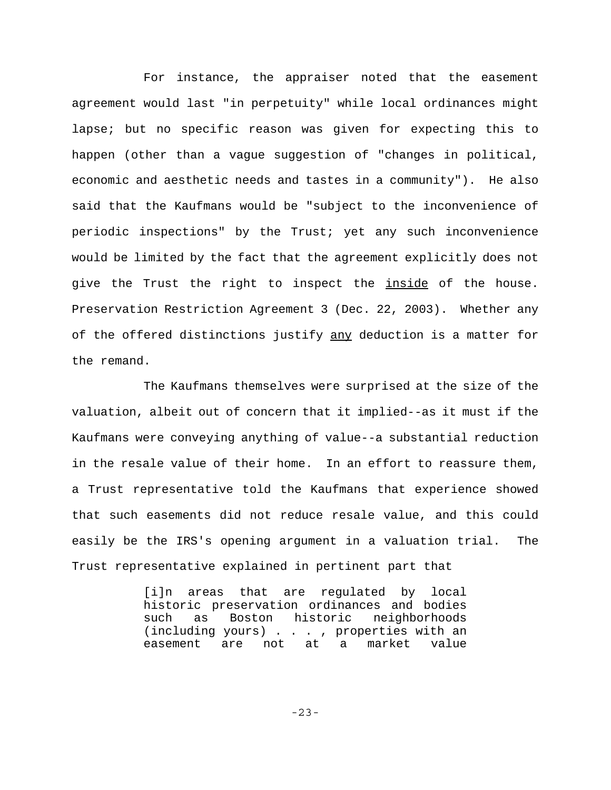For instance, the appraiser noted that the easement agreement would last "in perpetuity" while local ordinances might lapse; but no specific reason was given for expecting this to happen (other than a vague suggestion of "changes in political, economic and aesthetic needs and tastes in a community"). He also said that the Kaufmans would be "subject to the inconvenience of periodic inspections" by the Trust; yet any such inconvenience would be limited by the fact that the agreement explicitly does not give the Trust the right to inspect the inside of the house. Preservation Restriction Agreement 3 (Dec. 22, 2003). Whether any of the offered distinctions justify any deduction is a matter for the remand.

The Kaufmans themselves were surprised at the size of the valuation, albeit out of concern that it implied--as it must if the Kaufmans were conveying anything of value--a substantial reduction in the resale value of their home. In an effort to reassure them, a Trust representative told the Kaufmans that experience showed that such easements did not reduce resale value, and this could easily be the IRS's opening argument in a valuation trial. The Trust representative explained in pertinent part that

> [i]n areas that are regulated by local historic preservation ordinances and bodies such as Boston historic neighborhoods (including yours) . . . , properties with an easement are not at a market value

> > -23-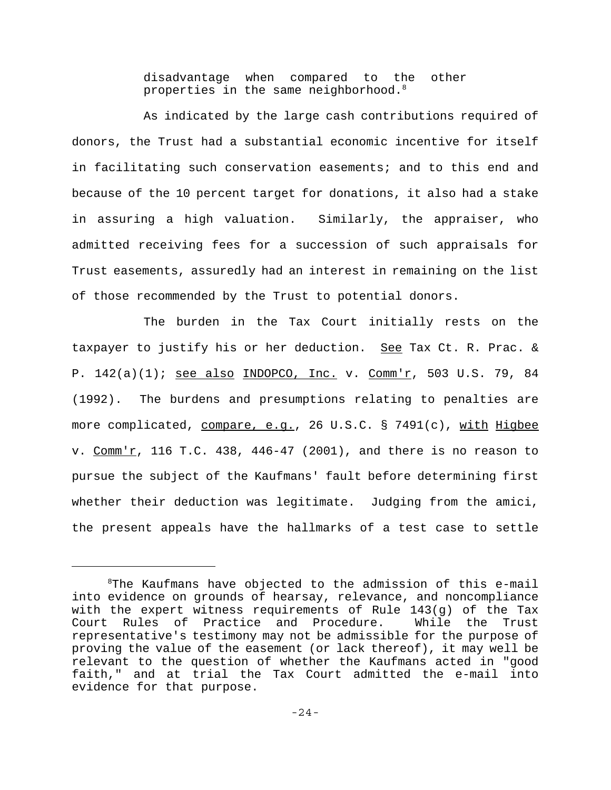disadvantage when compared to the other properties in the same neighborhood.<sup>8</sup>

As indicated by the large cash contributions required of donors, the Trust had a substantial economic incentive for itself in facilitating such conservation easements; and to this end and because of the 10 percent target for donations, it also had a stake in assuring a high valuation. Similarly, the appraiser, who admitted receiving fees for a succession of such appraisals for Trust easements, assuredly had an interest in remaining on the list of those recommended by the Trust to potential donors.

The burden in the Tax Court initially rests on the taxpayer to justify his or her deduction. See Tax Ct. R. Prac. & P. 142(a)(1); see also INDOPCO, Inc. v. Comm'r, 503 U.S. 79, 84 (1992). The burdens and presumptions relating to penalties are more complicated, compare, e.g., 26 U.S.C. § 7491(c), with Higbee v. Comm'r, 116 T.C. 438, 446-47 (2001), and there is no reason to pursue the subject of the Kaufmans' fault before determining first whether their deduction was legitimate. Judging from the amici, the present appeals have the hallmarks of a test case to settle

 ${}^{8}$ The Kaufmans have objected to the admission of this e-mail into evidence on grounds of hearsay, relevance, and noncompliance with the expert witness requirements of Rule 143(g) of the Tax Court Rules of Practice and Procedure. While the Trust representative's testimony may not be admissible for the purpose of proving the value of the easement (or lack thereof), it may well be relevant to the question of whether the Kaufmans acted in "good faith," and at trial the Tax Court admitted the e-mail into evidence for that purpose.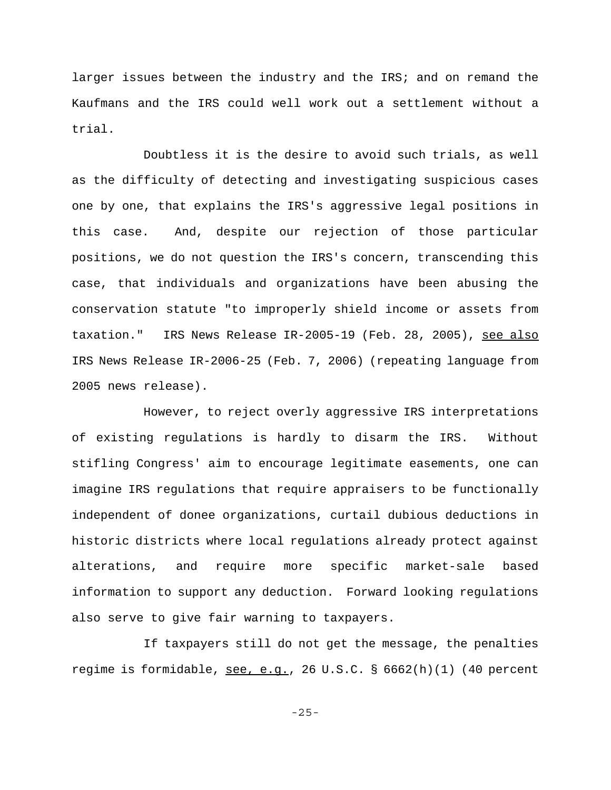larger issues between the industry and the IRS; and on remand the Kaufmans and the IRS could well work out a settlement without a trial.

Doubtless it is the desire to avoid such trials, as well as the difficulty of detecting and investigating suspicious cases one by one, that explains the IRS's aggressive legal positions in this case. And, despite our rejection of those particular positions, we do not question the IRS's concern, transcending this case, that individuals and organizations have been abusing the conservation statute "to improperly shield income or assets from taxation." IRS News Release IR-2005-19 (Feb. 28, 2005), see also IRS News Release IR-2006-25 (Feb. 7, 2006) (repeating language from 2005 news release).

However, to reject overly aggressive IRS interpretations of existing regulations is hardly to disarm the IRS. Without stifling Congress' aim to encourage legitimate easements, one can imagine IRS regulations that require appraisers to be functionally independent of donee organizations, curtail dubious deductions in historic districts where local regulations already protect against alterations, and require more specific market-sale based information to support any deduction. Forward looking regulations also serve to give fair warning to taxpayers.

If taxpayers still do not get the message, the penalties regime is formidable, see, e.g., 26 U.S.C.  $\S$  6662(h)(1) (40 percent

-25-